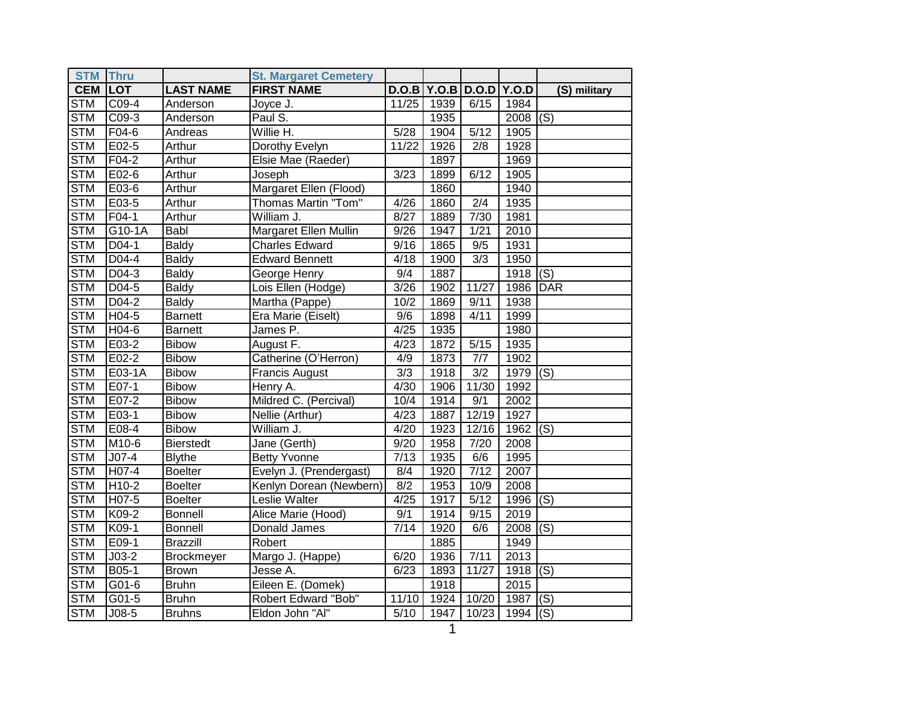| <b>STM</b> | <b>Thru</b> |                   | <b>St. Margaret Cemetery</b> |                   |      |                   |       |                           |
|------------|-------------|-------------------|------------------------------|-------------------|------|-------------------|-------|---------------------------|
| <b>CEM</b> | <b>LOT</b>  | <b>LAST NAME</b>  | <b>FIRST NAME</b>            | D.O.B             |      | Y.O.B   D.O.D     | Y.O.D | (S) military              |
| <b>STM</b> | C09-4       | Anderson          | Joyce J.                     | 11/25             | 1939 | 6/15              | 1984  |                           |
| <b>STM</b> | C09-3       | Anderson          | Paul S.                      |                   | 1935 |                   | 2008  | (S)                       |
| <b>STM</b> | F04-6       | Andreas           | Willie H.                    | $\overline{5/28}$ | 1904 | $\overline{5/12}$ | 1905  |                           |
| <b>STM</b> | E02-5       | Arthur            | Dorothy Evelyn               | 11/22             | 1926 | 2/8               | 1928  |                           |
| <b>STM</b> | F04-2       | Arthur            | Elsie Mae (Raeder)           |                   | 1897 |                   | 1969  |                           |
| <b>STM</b> | E02-6       | Arthur            | Joseph                       | 3/23              | 1899 | 6/12              | 1905  |                           |
| <b>STM</b> | E03-6       | Arthur            | Margaret Ellen (Flood)       |                   | 1860 |                   | 1940  |                           |
| <b>STM</b> | E03-5       | Arthur            | Thomas Martin "Tom"          | 4/26              | 1860 | 2/4               | 1935  |                           |
| <b>STM</b> | F04-1       | Arthur            | William J.                   | 8/27              | 1889 | 7/30              | 1981  |                           |
| <b>STM</b> | G10-1A      | Babl              | Margaret Ellen Mullin        | 9/26              | 1947 | 1/21              | 2010  |                           |
| <b>STM</b> | D04-1       | <b>Baldy</b>      | <b>Charles Edward</b>        | 9/16              | 1865 | 9/5               | 1931  |                           |
| <b>STM</b> | D04-4       | <b>Baldy</b>      | <b>Edward Bennett</b>        | 4/18              | 1900 | 3/3               | 1950  |                           |
| <b>STM</b> | $D04-3$     | <b>Baldy</b>      | George Henry                 | 9/4               | 1887 |                   | 1918  | $\overline{(\mathsf{S})}$ |
| <b>STM</b> | D04-5       | <b>Baldy</b>      | Lois Ellen (Hodge)           | 3/26              | 1902 | 11/27             | 1986  | DAR                       |
| <b>STM</b> | $D04-2$     | <b>Baldy</b>      | Martha (Pappe)               | 10/2              | 1869 | 9/11              | 1938  |                           |
| <b>STM</b> | $H04-5$     | <b>Barnett</b>    | Era Marie (Eiselt)           | 9/6               | 1898 | 4/11              | 1999  |                           |
| <b>STM</b> | $H04-6$     | <b>Barnett</b>    | James P.                     | 4/25              | 1935 |                   | 1980  |                           |
| <b>STM</b> | E03-2       | <b>Bibow</b>      | August F.                    | 4/23              | 1872 | $\overline{5/15}$ | 1935  |                           |
| <b>STM</b> | $E02-2$     | <b>Bibow</b>      | Catherine (O'Herron)         | $\overline{4/9}$  | 1873 | 7/7               | 1902  |                           |
| <b>STM</b> | E03-1A      | <b>Bibow</b>      | Francis August               | 3/3               | 1918 | $\overline{3/2}$  | 1979  | (S)                       |
| <b>STM</b> | E07-1       | <b>Bibow</b>      | Henry A.                     | 4/30              | 1906 | 11/30             | 1992  |                           |
| <b>STM</b> | E07-2       | <b>Bibow</b>      | Mildred C. (Percival)        | 10/4              | 1914 | 9/1               | 2002  |                           |
| <b>STM</b> | E03-1       | <b>Bibow</b>      | Nellie (Arthur)              | 4/23              | 1887 | 12/19             | 1927  |                           |
| <b>STM</b> | E08-4       | <b>Bibow</b>      | William J.                   | 4/20              | 1923 | 12/16             | 1962  | $\overline{\text{(S)}}$   |
| <b>STM</b> | M10-6       | <b>Bierstedt</b>  | Jane (Gerth)                 | 9/20              | 1958 | 7/20              | 2008  |                           |
| <b>STM</b> | $J07-4$     | <b>Blythe</b>     | <b>Betty Yvonne</b>          | $\sqrt{7/13}$     | 1935 | 6/6               | 1995  |                           |
| <b>STM</b> | H07-4       | <b>Boelter</b>    | Evelyn J. (Prendergast)      | 8/4               | 1920 | 7/12              | 2007  |                           |
| <b>STM</b> | H10-2       | Boelter           | Kenlyn Dorean (Newbern)      | 8/2               | 1953 | 10/9              | 2008  |                           |
| <b>STM</b> | H07-5       | <b>Boelter</b>    | Leslie Walter                | 4/25              | 1917 | 5/12              | 1996  | (S)                       |
| <b>STM</b> | K09-2       | <b>Bonnell</b>    | Alice Marie (Hood)           | 9/1               | 1914 | 9/15              | 2019  |                           |
| <b>STM</b> | K09-1       | <b>Bonnell</b>    | Donald James                 | 7/14              | 1920 | 6/6               | 2008  | (S)                       |
| <b>STM</b> | E09-1       | <b>Brazzill</b>   | Robert                       |                   | 1885 |                   | 1949  |                           |
| <b>STM</b> | $J03-2$     | <b>Brockmeyer</b> | Margo J. (Happe)             | 6/20              | 1936 | 7/11              | 2013  |                           |
| <b>STM</b> | B05-1       | <b>Brown</b>      | Jesse A.                     | 6/23              | 1893 | 11/27             | 1918  | (S)                       |
| <b>STM</b> | G01-6       | <b>Bruhn</b>      | Eileen E. (Domek)            |                   | 1918 |                   | 2015  |                           |
| <b>STM</b> | G01-5       | <b>Bruhn</b>      | Robert Edward "Bob"          | 11/10             | 1924 | 10/20             | 1987  | (S)                       |
| <b>STM</b> | $J08-5$     | <b>Bruhns</b>     | Eldon John "Al"              | 5/10              | 1947 | 10/23             | 1994  | (S)                       |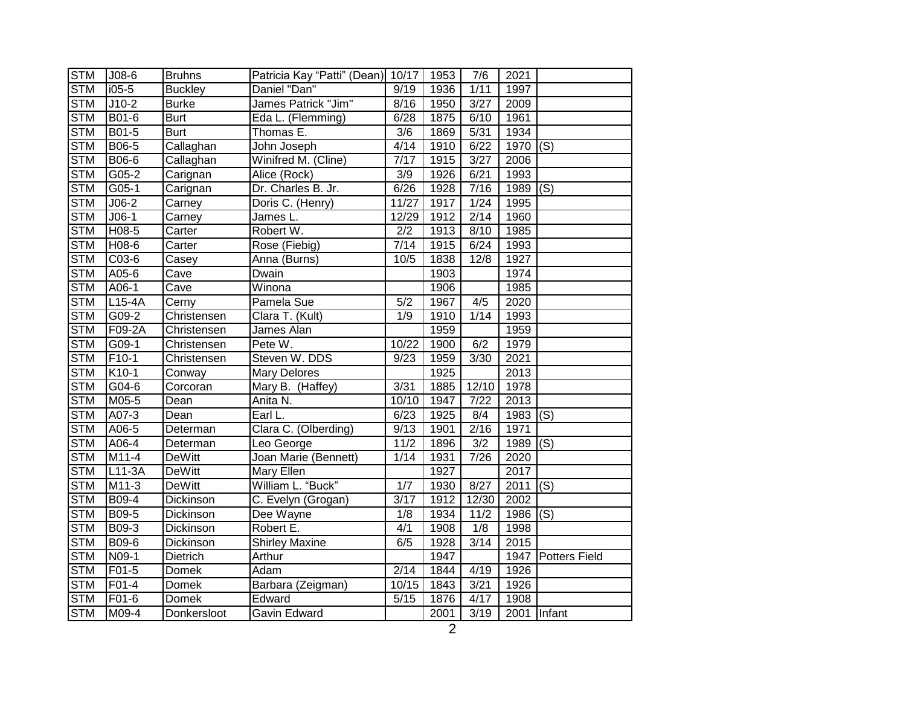| <b>STM</b> | $J08-6$             | <b>Bruhns</b>    | Patricia Kay "Patti" (Dean) 10/17 |                  | 1953 | 7/6   | 2021 |                           |
|------------|---------------------|------------------|-----------------------------------|------------------|------|-------|------|---------------------------|
| <b>STM</b> | $i05-5$             | <b>Buckley</b>   | Daniel "Dan"                      | 9/19             | 1936 | 1/11  | 1997 |                           |
| <b>STM</b> | $J10-2$             | <b>Burke</b>     | James Patrick "Jim"               | 8/16             | 1950 | 3/27  | 2009 |                           |
| <b>STM</b> | B01-6               | <b>Burt</b>      | Eda L. (Flemming)                 | 6/28             | 1875 | 6/10  | 1961 |                           |
| <b>STM</b> | B01-5               | <b>Burt</b>      | Thomas E.                         | 3/6              | 1869 | 5/31  | 1934 |                           |
| <b>STM</b> | B06-5               | Callaghan        | John Joseph                       | 4/14             | 1910 | 6/22  | 1970 | (S)                       |
| <b>STM</b> | B06-6               | Callaghan        | Winifred M. (Cline)               | 7/17             | 1915 | 3/27  | 2006 |                           |
| <b>STM</b> | G05-2               | Carignan         | Alice (Rock)                      | $\overline{3/9}$ | 1926 | 6/21  | 1993 |                           |
| <b>STM</b> | G05-1               | Carignan         | Dr. Charles B. Jr.                | 6/26             | 1928 | 7/16  | 1989 | (S)                       |
| <b>STM</b> | $J06-2$             | Carney           | Doris C. (Henry)                  | 11/27            | 1917 | 1/24  | 1995 |                           |
| <b>STM</b> | $J06-1$             | Carney           | James L.                          | 12/29            | 1912 | 2/14  | 1960 |                           |
| <b>STM</b> | H08-5               | Carter           | Robert W.                         | 2/2              | 1913 | 8/10  | 1985 |                           |
| <b>STM</b> | H08-6               | Carter           | Rose (Fiebig)                     | 7/14             | 1915 | 6/24  | 1993 |                           |
| <b>STM</b> | C03-6               | Casey            | Anna (Burns)                      | 10/5             | 1838 | 12/8  | 1927 |                           |
| <b>STM</b> | A05-6               | Cave             | Dwain                             |                  | 1903 |       | 1974 |                           |
| <b>STM</b> | A06-1               | Cave             | Winona                            |                  | 1906 |       | 1985 |                           |
| <b>STM</b> | $L15-4A$            | Cerny            | Pamela Sue                        | $\overline{5/2}$ | 1967 | 4/5   | 2020 |                           |
| <b>STM</b> | G09-2               | Christensen      | Clara T. (Kult)                   | 1/9              | 1910 | 1/14  | 1993 |                           |
| <b>STM</b> | F09-2A              | Christensen      | James Alan                        |                  | 1959 |       | 1959 |                           |
| <b>STM</b> | $G09-1$             | Christensen      | Pete W.                           | 10/22            | 1900 | 6/2   | 1979 |                           |
| <b>STM</b> | $F10-1$             | Christensen      | Steven W. DDS                     | 9/23             | 1959 | 3/30  | 2021 |                           |
| <b>STM</b> | K10-1               | Conway           | <b>Mary Delores</b>               |                  | 1925 |       | 2013 |                           |
| <b>STM</b> | G04-6               | Corcoran         | Mary B. (Haffey)                  | 3/31             | 1885 | 12/10 | 1978 |                           |
| <b>STM</b> | M05-5               | Dean             | Anita N.                          | 10/10            | 1947 | 7/22  | 2013 |                           |
| <b>STM</b> | A07-3               | Dean             | Earl L.                           | 6/23             | 1925 | 8/4   | 1983 | (S)                       |
| <b>STM</b> | A06- $\overline{5}$ | Determan         | Clara C. (Olberding)              | 9/13             | 1901 | 2/16  | 1971 |                           |
| <b>STM</b> | A06-4               | Determan         | Leo George                        | 11/2             | 1896 | 3/2   | 1989 | (S)                       |
| <b>STM</b> | M11-4               | <b>DeWitt</b>    | Joan Marie (Bennett)              | 1/14             | 1931 | 7/26  | 2020 |                           |
| <b>STM</b> | $L11-3A$            | <b>DeWitt</b>    | Mary Ellen                        |                  | 1927 |       | 2017 |                           |
| <b>STM</b> | M11-3               | <b>DeWitt</b>    | William L. "Buck"                 | 1/7              | 1930 | 8/27  | 2011 | $\overline{(\mathsf{S})}$ |
| <b>STM</b> | <b>B09-4</b>        | <b>Dickinson</b> | C. Evelyn (Grogan)                | 3/17             | 1912 | 12/30 | 2002 |                           |
| <b>STM</b> | B09-5               | Dickinson        | Dee Wayne                         | 1/8              | 1934 | 11/2  | 1986 | (S)                       |
| <b>STM</b> | B09-3               | Dickinson        | Robert E.                         | 4/1              | 1908 | 1/8   | 1998 |                           |
| <b>STM</b> | B09-6               | Dickinson        | <b>Shirley Maxine</b>             | 6/5              | 1928 | 3/14  | 2015 |                           |
| <b>STM</b> | N09-1               | Dietrich         | Arthur                            |                  | 1947 |       |      | 1947   Potters Field      |
| <b>STM</b> | F01-5               | Domek            | Adam                              | 2/14             | 1844 | 4/19  | 1926 |                           |
| <b>STM</b> | F01-4               | Domek            | Barbara (Zeigman)                 | 10/15            | 1843 | 3/21  | 1926 |                           |
| <b>STM</b> | F01-6               | Domek            | Edward                            | 5/15             | 1876 | 4/17  | 1908 |                           |
| <b>STM</b> | M09-4               | Donkersloot      | Gavin Edward                      |                  | 2001 | 3/19  |      | 2001 Infant               |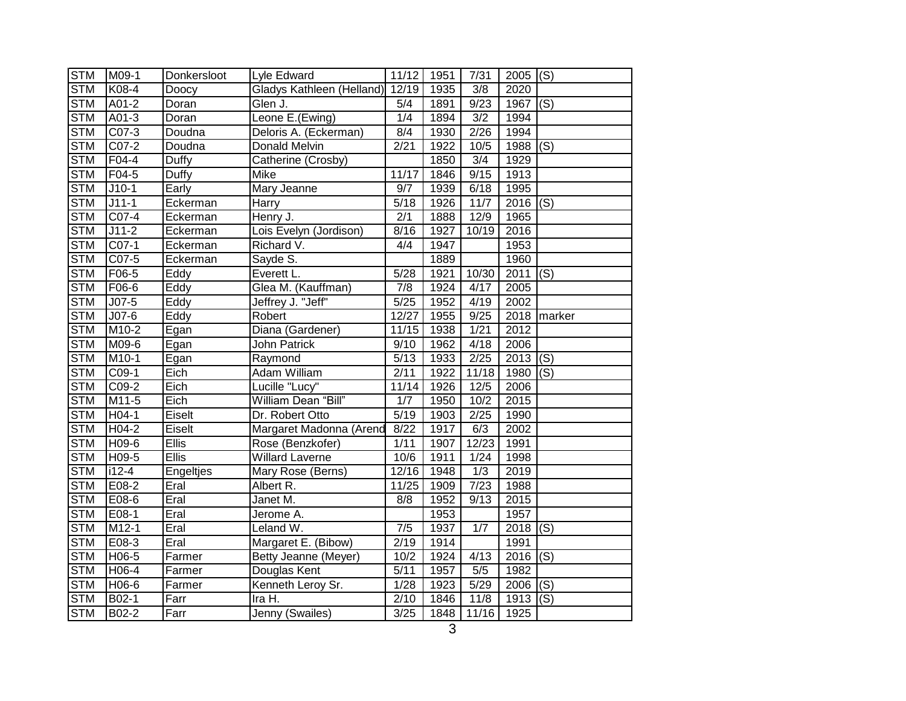| <b>STM</b> | M09-1   | Donkersloot  | Lyle Edward               | 11/12         | 1951 | 7/31             | $2005$ (S) |                   |
|------------|---------|--------------|---------------------------|---------------|------|------------------|------------|-------------------|
| <b>STM</b> | K08-4   | Doocy        | Gladys Kathleen (Helland) | 12/19         | 1935 | $\overline{3/8}$ | 2020       |                   |
| <b>STM</b> | A01-2   | Doran        | Glen J.                   | 5/4           | 1891 | 9/23             | 1967       | (S)               |
| <b>STM</b> | A01-3   | Doran        | Leone E.(Ewing)           | 1/4           | 1894 | 3/2              | 1994       |                   |
| <b>STM</b> | $CO7-3$ | Doudna       | Deloris A. (Eckerman)     | 8/4           | 1930 | $\sqrt{2/26}$    | 1994       |                   |
| <b>STM</b> | C07-2   | Doudna       | Donald Melvin             | 2/21          | 1922 | 10/5             | 1988       | (S)               |
| <b>STM</b> | F04-4   | Duffy        | Catherine (Crosby)        |               | 1850 | 3/4              | 1929       |                   |
| <b>STM</b> | F04-5   | Duffy        | Mike                      | 11/17         | 1846 | 9/15             | 1913       |                   |
| <b>STM</b> | $J10-1$ | Early        | Mary Jeanne               | 9/7           | 1939 | 6/18             | 1995       |                   |
| <b>STM</b> | $J11-1$ | Eckerman     | Harry                     | 5/18          | 1926 | 11/7             | 2016       | (S)               |
| <b>STM</b> | C07-4   | Eckerman     | Henry J.                  | 2/1           | 1888 | 12/9             | 1965       |                   |
| <b>STM</b> | $J11-2$ | Eckerman     | Lois Evelyn (Jordison)    | 8/16          | 1927 | 10/19            | 2016       |                   |
| <b>STM</b> | C07-1   | Eckerman     | Richard V.                | 4/4           | 1947 |                  | 1953       |                   |
| <b>STM</b> | $CO7-5$ | Eckerman     | Sayde S.                  |               | 1889 |                  | 1960       |                   |
| <b>STM</b> | F06-5   | Eddy         | Everett L.                | 5/28          | 1921 | 10/30            | 2011       | $\overline{S}(s)$ |
| <b>STM</b> | F06-6   | Eddy         | Glea M. (Kauffman)        | 7/8           | 1924 | 4/17             | 2005       |                   |
| <b>STM</b> | $J07-5$ | Eddy         | Jeffrey J. "Jeff"         | 5/25          | 1952 | 4/19             | 2002       |                   |
| <b>STM</b> | $JO7-6$ | Eddy         | Robert                    | 12/27         | 1955 | 9/25             |            | 2018 marker       |
| <b>STM</b> | M10-2   | Egan         | Diana (Gardener)          | 11/15         | 1938 | 1/21             | 2012       |                   |
| <b>STM</b> | M09-6   | Egan         | <b>John Patrick</b>       | 9/10          | 1962 | 4/18             | 2006       |                   |
| <b>STM</b> | M10-1   | Egan         | Raymond                   | $\sqrt{5/13}$ | 1933 | $\sqrt{2/25}$    | 2013       | $\overline{(S)}$  |
| <b>STM</b> | $C09-1$ | Eich         | Adam William              | 2/11          | 1922 | 11/18            | 1980       | (S)               |
| <b>STM</b> | C09-2   | Eich         | Lucille "Lucy"            | 11/14         | 1926 | 12/5             | 2006       |                   |
| <b>STM</b> | M11-5   | Eich         | William Dean "Bill"       | 1/7           | 1950 | 10/2             | 2015       |                   |
| <b>STM</b> | H04-1   | Eiselt       | Dr. Robert Otto           | 5/19          | 1903 | 2/25             | 1990       |                   |
| <b>STM</b> | H04-2   | Eiselt       | Margaret Madonna (Arend   | 8/22          | 1917 | 6/3              | 2002       |                   |
| <b>STM</b> | H09-6   | <b>Ellis</b> | Rose (Benzkofer)          | 1/11          | 1907 | 12/23            | 1991       |                   |
| <b>STM</b> | H09-5   | <b>Ellis</b> | <b>Willard Laverne</b>    | 10/6          | 1911 | 1/24             | 1998       |                   |
| <b>STM</b> | $i12-4$ | Engeltjes    | Mary Rose (Berns)         | 12/16         | 1948 | $\overline{1/3}$ | 2019       |                   |
| <b>STM</b> | E08-2   | Eral         | Albert R.                 | 11/25         | 1909 | 7/23             | 1988       |                   |
| <b>STM</b> | E08-6   | Eral         | Janet M.                  | 8/8           | 1952 | 9/13             | 2015       |                   |
| <b>STM</b> | E08-1   | Eral         | Jerome A.                 |               | 1953 |                  | 1957       |                   |
| <b>STM</b> | $M12-1$ | Eral         | Leland W.                 | 7/5           | 1937 | 1/7              | 2018       | (S)               |
| <b>STM</b> | E08-3   | Eral         | Margaret E. (Bibow)       | 2/19          | 1914 |                  | 1991       |                   |
| <b>STM</b> | H06-5   | Farmer       | Betty Jeanne (Meyer)      | 10/2          | 1924 | 4/13             | 2016       | (S)               |
| <b>STM</b> | H06-4   | Farmer       | Douglas Kent              | 5/11          | 1957 | 5/5              | 1982       |                   |
| <b>STM</b> | H06-6   | Farmer       | Kenneth Leroy Sr.         | 1/28          | 1923 | 5/29             | 2006       | (S)               |
| <b>STM</b> | B02-1   | Farr         | Ira H.                    | 2/10          | 1846 | 11/8             | 1913       | (S)               |
| <b>STM</b> | B02-2   | Farr         | Jenny (Swailes)           | 3/25          | 1848 | 11/16            | 1925       |                   |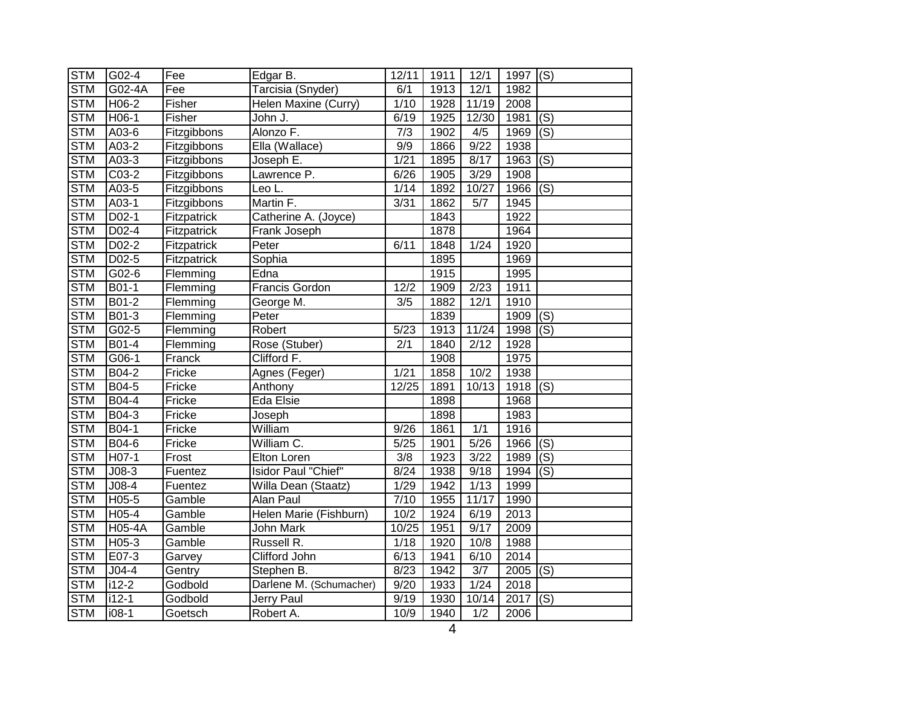| <b>STM</b> | G02-4         | Fee         | Edgar B.                | 12/11             | 1911 | 12/1              | 1997 (S) |                           |
|------------|---------------|-------------|-------------------------|-------------------|------|-------------------|----------|---------------------------|
| <b>STM</b> | G02-4A        | Fee         | Tarcisia (Snyder)       | 6/1               | 1913 | 12/1              | 1982     |                           |
| <b>STM</b> | H06-2         | Fisher      | Helen Maxine (Curry)    | 1/10              | 1928 | 11/19             | 2008     |                           |
| <b>STM</b> | H06-1         | Fisher      | John J.                 | 6/19              | 1925 | 12/30             | 1981     | (S)                       |
| <b>STM</b> | A03-6         | Fitzgibbons | Alonzo F.               | $\overline{7/3}$  | 1902 | 4/5               | 1969     | $\overline{(\mathsf{S})}$ |
| <b>STM</b> | A03-2         | Fitzgibbons | Ella (Wallace)          | 9/9               | 1866 | 9/22              | 1938     |                           |
| <b>STM</b> | A03-3         | Fitzgibbons | Joseph E.               | $1/21$            | 1895 | 8/17              | 1963     | $\overline{(\mathsf{S})}$ |
| <b>STM</b> | $C03-2$       | Fitzgibbons | Lawrence P.             | 6/26              | 1905 | 3/29              | 1908     |                           |
| <b>STM</b> | A03-5         | Fitzgibbons | Leo L.                  | 1/14              | 1892 | 10/27             | 1966     | (S)                       |
| <b>STM</b> | A03-1         | Fitzgibbons | Martin F.               | 3/31              | 1862 | 5/7               | 1945     |                           |
| <b>STM</b> | D02-1         | Fitzpatrick | Catherine A. (Joyce)    |                   | 1843 |                   | 1922     |                           |
| <b>STM</b> | D02-4         | Fitzpatrick | Frank Joseph            |                   | 1878 |                   | 1964     |                           |
| <b>STM</b> | D02-2         | Fitzpatrick | Peter                   | 6/11              | 1848 | 1/24              | 1920     |                           |
| <b>STM</b> | $D02-5$       | Fitzpatrick | Sophia                  |                   | 1895 |                   | 1969     |                           |
| <b>STM</b> | G02-6         | Flemming    | Edna                    |                   | 1915 |                   | 1995     |                           |
| <b>STM</b> | B01-1         | Flemming    | <b>Francis Gordon</b>   | 12/2              | 1909 | $\sqrt{2/23}$     | 1911     |                           |
| <b>STM</b> | $B01-2$       | Flemming    | George M.               | $\overline{3/5}$  | 1882 | 12/1              | 1910     |                           |
| <b>STM</b> | B01-3         | Flemming    | Peter                   |                   | 1839 |                   | 1909     | (S)                       |
| <b>STM</b> | $G02-5$       | Flemming    | Robert                  | 5/23              | 1913 | 11/24             | 1998     | (S)                       |
| <b>STM</b> | $B01-4$       | Flemming    | Rose (Stuber)           | $\overline{2/1}$  | 1840 | $\sqrt{2/12}$     | 1928     |                           |
| <b>STM</b> | $G$ 06-1      | Franck      | Clifford F.             |                   | 1908 |                   | 1975     |                           |
| <b>STM</b> | B04-2         | Fricke      | Agnes (Feger)           | 1/21              | 1858 | 10/2              | 1938     |                           |
| <b>STM</b> | B04-5         | Fricke      | Anthony                 | 12/25             | 1891 | 10/13             | 1918     | (S)                       |
| <b>STM</b> | B04-4         | Fricke      | Eda Elsie               |                   | 1898 |                   | 1968     |                           |
| <b>STM</b> | B04-3         | Fricke      | Joseph                  |                   | 1898 |                   | 1983     |                           |
| <b>STM</b> | B04-1         | Fricke      | William                 | 9/26              | 1861 | 1/1               | 1916     |                           |
| <b>STM</b> | B04-6         | Fricke      | William C.              | $\overline{5/25}$ | 1901 | $\overline{5/26}$ | 1966     | $\overline{(\mathsf{S})}$ |
| <b>STM</b> | H07-1         | Frost       | Elton Loren             | 3/8               | 1923 | 3/22              | 1989     | (S)                       |
| <b>STM</b> | $J08-3$       | Fuentez     | Isidor Paul "Chief"     | 8/24              | 1938 | 9/18              | 1994     | (S)                       |
| <b>STM</b> | $J08-4$       | Fuentez     | Willa Dean (Staatz)     | 1/29              | 1942 | 1/13              | 1999     |                           |
| <b>STM</b> | H05-5         | Gamble      | Alan Paul               | 7/10              | 1955 | 11/17             | 1990     |                           |
| <b>STM</b> | H05-4         | Gamble      | Helen Marie (Fishburn)  | 10/2              | 1924 | 6/19              | 2013     |                           |
| <b>STM</b> | <b>H05-4A</b> | Gamble      | John Mark               | 10/25             | 1951 | 9/17              | 2009     |                           |
| <b>STM</b> | H05-3         | Gamble      | Russell R.              | 1/18              | 1920 | 10/8              | 1988     |                           |
| <b>STM</b> | E07-3         | Garvey      | Clifford John           | 6/13              | 1941 | 6/10              | 2014     |                           |
| <b>STM</b> | $J04-4$       | Gentry      | Stephen B.              | 8/23              | 1942 | 3/7               | 2005     | (S)                       |
| <b>STM</b> | $i12-2$       | Godbold     | Darlene M. (Schumacher) | 9/20              | 1933 | 1/24              | 2018     |                           |
| <b>STM</b> | $i12-1$       | Godbold     | Jerry Paul              | 9/19              | 1930 | 10/14             | 2017     | (S)                       |
| <b>STM</b> | $108 - 1$     | Goetsch     | Robert A.               | 10/9              | 1940 | $\overline{1/2}$  | 2006     |                           |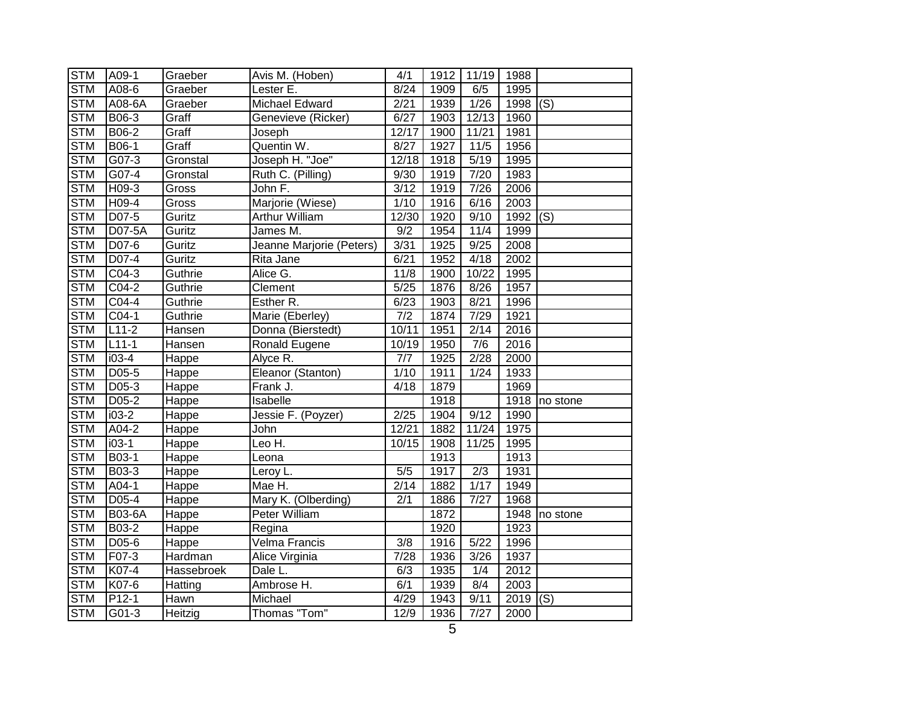| <b>STM</b> | A09-1                | Graeber    | Avis M. (Hoben)          | 4/1               | 1912 | 11/19            | 1988 |          |
|------------|----------------------|------------|--------------------------|-------------------|------|------------------|------|----------|
| <b>STM</b> | A08-6                | Graeber    | Lester E.                | 8/24              | 1909 | 6/5              | 1995 |          |
| <b>STM</b> | A08-6A               | Graeber    | Michael Edward           | 2/21              | 1939 | 1/26             | 1998 | (S)      |
| <b>STM</b> | B06-3                | Graff      | Genevieve (Ricker)       | 6/27              | 1903 | 12/13            | 1960 |          |
| <b>STM</b> | B06-2                | Graff      | Joseph                   | 12/17             | 1900 | 11/21            | 1981 |          |
| <b>STM</b> | B06-1                | Graff      | Quentin W.               | 8/27              | 1927 | 11/5             | 1956 |          |
| <b>STM</b> | G07-3                | Gronstal   | Joseph H. "Joe"          | 12/18             | 1918 | 5/19             | 1995 |          |
| <b>STM</b> | G07-4                | Gronstal   | Ruth C. (Pilling)        | 9/30              | 1919 | 7/20             | 1983 |          |
| <b>STM</b> | H09-3                | Gross      | John F.                  | 3/12              | 1919 | 7/26             | 2006 |          |
| <b>STM</b> | H09-4                | Gross      | Marjorie (Wiese)         | 1/10              | 1916 | 6/16             | 2003 |          |
| <b>STM</b> | D07-5                | Guritz     | <b>Arthur William</b>    | 12/30             | 1920 | 9/10             | 1992 | (S)      |
| <b>STM</b> | D07-5A               | Guritz     | James M.                 | 9/2               | 1954 | 11/4             | 1999 |          |
| <b>STM</b> | D07-6                | Guritz     | Jeanne Marjorie (Peters) | 3/31              | 1925 | 9/25             | 2008 |          |
| <b>STM</b> | D07-4                | Guritz     | Rita Jane                | 6/21              | 1952 | 4/18             | 2002 |          |
| <b>STM</b> | C04-3                | Guthrie    | Alice G.                 | 11/8              | 1900 | 10/22            | 1995 |          |
| <b>STM</b> | $C04-2$              | Guthrie    | Clement                  | 5/25              | 1876 | 8/26             | 1957 |          |
| <b>STM</b> | $CO4-4$              | Guthrie    | Esther R.                | 6/23              | 1903 | 8/21             | 1996 |          |
| <b>STM</b> | $CO4-1$              | Guthrie    | Marie (Eberley)          | 7/2               | 1874 | 7/29             | 1921 |          |
| <b>STM</b> | $L11-2$              | Hansen     | Donna (Bierstedt)        | 10/11             | 1951 | 2/14             | 2016 |          |
| <b>STM</b> | $L11-1$              | Hansen     | Ronald Eugene            | 10/19             | 1950 | $\overline{7/6}$ | 2016 |          |
| <b>STM</b> | $i03-4$              | Happe      | Alyce R.                 | $\overline{7/7}$  | 1925 | 2/28             | 2000 |          |
| <b>STM</b> | D05-5                | Happe      | Eleanor (Stanton)        | 1/10              | 1911 | 1/24             | 1933 |          |
| <b>STM</b> | D05-3                | Happe      | Frank J.                 | 4/18              | 1879 |                  | 1969 |          |
| <b>STM</b> | D05-2                | Happe      | Isabelle                 |                   | 1918 |                  | 1918 | no stone |
| <b>STM</b> | $\overline{103} - 2$ | Happe      | Jessie F. (Poyzer)       | 2/25              | 1904 | 9/12             | 1990 |          |
| <b>STM</b> | A04-2                | Happe      | John                     | 12/21             | 1882 | 11/24            | 1975 |          |
| <b>STM</b> | $i03-1$              | Happe      | Leo H.                   | 10/15             | 1908 | 11/25            | 1995 |          |
| <b>STM</b> | B03-1                | Happe      | Leona                    |                   | 1913 |                  | 1913 |          |
| <b>STM</b> | B03-3                | Happe      | Leroy L.                 | 5/5               | 1917 | 2/3              | 1931 |          |
| <b>STM</b> | A04-1                | Happe      | Mae H.                   | 2/14              | 1882 | 1/17             | 1949 |          |
| <b>STM</b> | D05-4                | Happe      | Mary K. (Olberding)      | 2/1               | 1886 | 7/27             | 1968 |          |
| <b>STM</b> | <b>B03-6A</b>        | Happe      | Peter William            |                   | 1872 |                  | 1948 | no stone |
| <b>STM</b> | B03-2                | Happe      | Regina                   |                   | 1920 |                  | 1923 |          |
| <b>STM</b> | D05-6                | Happe      | Velma Francis            | 3/8               | 1916 | 5/22             | 1996 |          |
| <b>STM</b> | F07-3                | Hardman    | Alice Virginia           | $\overline{7/28}$ | 1936 | 3/26             | 1937 |          |
| <b>STM</b> | K07-4                | Hassebroek | Dale L.                  | 6/3               | 1935 | 1/4              | 2012 |          |
| <b>STM</b> | K07-6                | Hatting    | Ambrose H.               | 6/1               | 1939 | 8/4              | 2003 |          |
| <b>STM</b> | $P12-1$              | Hawn       | Michael                  | 4/29              | 1943 | 9/11             | 2019 | (S)      |
| <b>STM</b> | G01-3                | Heitzig    | Thomas "Tom"             | 12/9              | 1936 | 7/27             | 2000 |          |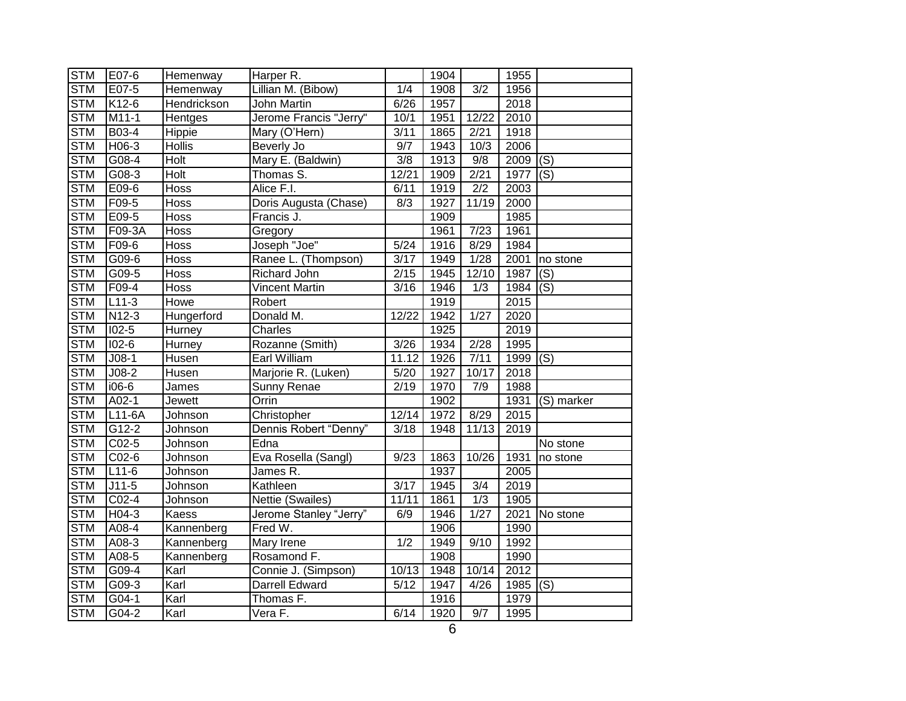| <b>STM</b> | E07-6     | Hemenway           | Harper R.              |                   | 1904 |                  | 1955 |                           |
|------------|-----------|--------------------|------------------------|-------------------|------|------------------|------|---------------------------|
| <b>STM</b> | E07-5     | Hemenway           | Lillian M. (Bibow)     | 1/4               | 1908 | $\overline{3/2}$ | 1956 |                           |
| <b>STM</b> | K12-6     | Hendrickson        | John Martin            | 6/26              | 1957 |                  | 2018 |                           |
| <b>STM</b> | $M11-1$   | Hentges            | Jerome Francis "Jerry" | 10/1              | 1951 | 12/22            | 2010 |                           |
| <b>STM</b> | B03-4     | Hippie             | Mary (O'Hern)          | 3/11              | 1865 | 2/21             | 1918 |                           |
| <b>STM</b> | H06-3     | <b>Hollis</b>      | Beverly Jo             | 9/7               | 1943 | 10/3             | 2006 |                           |
| <b>STM</b> | G08-4     | Holt               | Mary E. (Baldwin)      | 3/8               | 1913 | 9/8              | 2009 | (S)                       |
| <b>STM</b> | $G08-3$   | <b>Holt</b>        | Thomas S.              | 12/21             | 1909 | 2/21             | 1977 | $\overline{(\mathsf{S})}$ |
| <b>STM</b> | E09-6     | Hoss               | Alice F.I.             | 6/11              | 1919 | 2/2              | 2003 |                           |
| <b>STM</b> | F09-5     | <b>Hoss</b>        | Doris Augusta (Chase)  | 8/3               | 1927 | 11/19            | 2000 |                           |
| <b>STM</b> | E09-5     | <b>Hoss</b>        | Francis J.             |                   | 1909 |                  | 1985 |                           |
| <b>STM</b> | F09-3A    | Hoss               | Gregory                |                   | 1961 | 7/23             | 1961 |                           |
| <b>STM</b> | F09-6     | Hoss               | Joseph "Joe"           | 5/24              | 1916 | 8/29             | 1984 |                           |
| <b>STM</b> | G09-6     | $\overline{H}$ oss | Ranee L. (Thompson)    | 3/17              | 1949 | 1/28             | 2001 | no stone                  |
| <b>STM</b> | G09-5     | Hoss               | Richard John           | 2/15              | 1945 | 12/10            | 1987 | (S)                       |
| <b>STM</b> | F09-4     | Hoss               | <b>Vincent Martin</b>  | 3/16              | 1946 | $\overline{1/3}$ | 1984 | (S)                       |
| <b>STM</b> | $L11-3$   | <b>Howe</b>        | Robert                 |                   | 1919 |                  | 2015 |                           |
| <b>STM</b> | $N12-3$   | Hungerford         | Donald M.              | 12/22             | 1942 | 1/27             | 2020 |                           |
| <b>STM</b> | $102 - 5$ | Hurney             | Charles                |                   | 1925 |                  | 2019 |                           |
| <b>STM</b> | $102 - 6$ | Hurney             | Rozanne (Smith)        | 3/26              | 1934 | 2/28             | 1995 |                           |
| <b>STM</b> | $J$ 08-1  | Husen              | Earl William           | 11.12             | 1926 | 7/11             | 1999 | $\overline{(S)}$          |
| <b>STM</b> | $J08-2$   | Husen              | Marjorie R. (Luken)    | 5/20              | 1927 | 10/17            | 2018 |                           |
| <b>STM</b> | i06-6     | James              | Sunny Renae            | 2/19              | 1970 | 7/9              | 1988 |                           |
| <b>STM</b> | A02-1     | Jewett             | Orrin                  |                   | 1902 |                  | 1931 | (S) marker                |
| <b>STM</b> | L11-6A    | Johnson            | Christopher            | 12/14             | 1972 | 8/29             | 2015 |                           |
| <b>STM</b> | $G12-2$   | Johnson            | Dennis Robert "Denny"  | $\overline{3/18}$ | 1948 | 11/13            | 2019 |                           |
| <b>STM</b> | $CO2-5$   | Johnson            | Edna                   |                   |      |                  |      | No stone                  |
| <b>STM</b> | C02-6     | Johnson            | Eva Rosella (Sangl)    | 9/23              | 1863 | 10/26            | 1931 | no stone                  |
| <b>STM</b> | $L11-6$   | Johnson            | James R.               |                   | 1937 |                  | 2005 |                           |
| <b>STM</b> | $J11-5$   | Johnson            | Kathleen               | $\overline{3/17}$ | 1945 | $\overline{3/4}$ | 2019 |                           |
| <b>STM</b> | C02-4     | Johnson            | Nettie (Swailes)       | 11/11             | 1861 | 1/3              | 1905 |                           |
| <b>STM</b> | H04-3     | Kaess              | Jerome Stanley "Jerry" | 6/9               | 1946 | 1/27             | 2021 | No stone                  |
| <b>STM</b> | A08-4     | Kannenberg         | Fred W.                |                   | 1906 |                  | 1990 |                           |
| <b>STM</b> | A08-3     | Kannenberg         | Mary Irene             | 1/2               | 1949 | 9/10             | 1992 |                           |
| <b>STM</b> | A08-5     | Kannenberg         | Rosamond F.            |                   | 1908 |                  | 1990 |                           |
| <b>STM</b> | G09-4     | Karl               | Connie J. (Simpson)    | 10/13             | 1948 | 10/14            | 2012 |                           |
| <b>STM</b> | G09-3     | Karl               | <b>Darrell Edward</b>  | 5/12              | 1947 | 4/26             | 1985 | (S)                       |
| <b>STM</b> | G04-1     | Karl               | Thomas F.              |                   | 1916 |                  | 1979 |                           |
| <b>STM</b> | G04-2     | Karl               | Vera F.                | 6/14              | 1920 | 9/7              | 1995 |                           |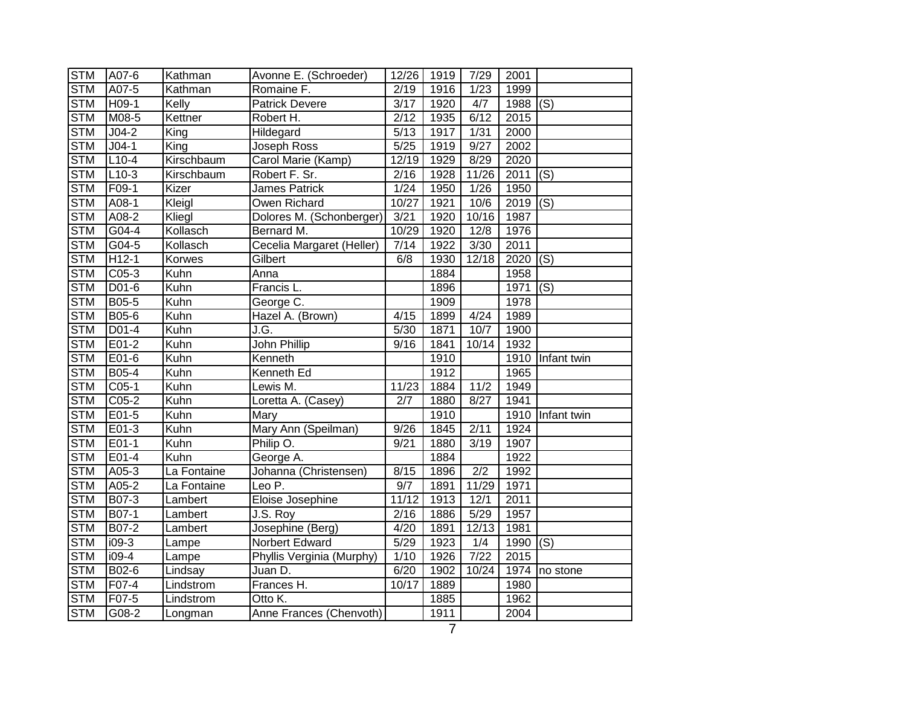| <b>STM</b> | A07-6        | Kathman           | Avonne E. (Schroeder)     | 12/26             | 1919 | 7/29             | 2001        |                           |
|------------|--------------|-------------------|---------------------------|-------------------|------|------------------|-------------|---------------------------|
| <b>STM</b> | A07-5        | Kathman           | Romaine F.                | 2/19              | 1916 | 1/23             | 1999        |                           |
| <b>STM</b> | H09-1        | Kelly             | <b>Patrick Devere</b>     | 3/17              | 1920 | 4/7              | 1988        | (S)                       |
| <b>STM</b> | M08-5        | Kettner           | Robert H.                 | 2/12              | 1935 | 6/12             | 2015        |                           |
| <b>STM</b> | $J04-2$      | $\overline{King}$ | Hildegard                 | $\sqrt{5/13}$     | 1917 | 1/31             | 2000        |                           |
| <b>STM</b> | $J04-1$      | King              | Joseph Ross               | 5/25              | 1919 | 9/27             | 2002        |                           |
| <b>STM</b> | $L10-4$      | Kirschbaum        | Carol Marie (Kamp)        | $\frac{1}{2}$ /19 | 1929 | 8/29             | 2020        |                           |
| <b>STM</b> | $L10-3$      | Kirschbaum        | Robert F. Sr.             | $\sqrt{2/16}$     | 1928 | 11/26            | 2011        | (S)                       |
| <b>STM</b> | F09-1        | Kizer             | James Patrick             | 1/24              | 1950 | 1/26             | 1950        |                           |
| <b>STM</b> | A08-1        | Kleigl            | Owen Richard              | 10/27             | 1921 | 10/6             | 2019        | (S)                       |
| <b>STM</b> | A08-2        | Kliegl            | Dolores M. (Schonberger)  | $\frac{3}{21}$    | 1920 | 10/16            | 1987        |                           |
| <b>STM</b> | G04-4        | Kollasch          | Bernard M.                | 10/29             | 1920 | 12/8             | 1976        |                           |
| <b>STM</b> | $G04-5$      | Kollasch          | Cecelia Margaret (Heller) | 7/14              | 1922 | 3/30             | 2011        |                           |
| <b>STM</b> | $H12-1$      | Korwes            | Gilbert                   | 6/8               | 1930 | 12/18            | 2020        | $\overline{(\mathsf{S})}$ |
| <b>STM</b> | C05-3        | Kuhn              | Anna                      |                   | 1884 |                  | 1958        |                           |
| <b>STM</b> | $D01-6$      | Kuhn              | Francis L.                |                   | 1896 |                  | 1971        | (S)                       |
| <b>STM</b> | B05-5        | Kuhn              | George C.                 |                   | 1909 |                  | 1978        |                           |
| <b>STM</b> | B05-6        | Kuhn              | Hazel A. (Brown)          | 4/15              | 1899 | 4/24             | 1989        |                           |
| <b>STM</b> | $D01-4$      | Kuhn              | J.G.                      | 5/30              | 1871 | 10/7             | 1900        |                           |
| <b>STM</b> | $E01-2$      | Kuhn              | <b>John Phillip</b>       | 9/16              | 1841 | 10/14            | 1932        |                           |
| <b>STM</b> | $E01-6$      | <b>Kuhn</b>       | Kenneth                   |                   | 1910 |                  |             | 1910 Infant twin          |
| <b>STM</b> | <b>B05-4</b> | Kuhn              | Kenneth Ed                |                   | 1912 |                  | 1965        |                           |
| <b>STM</b> | $C05-1$      | Kuhn              | Lewis M.                  | 11/23             | 1884 | 11/2             | 1949        |                           |
| <b>STM</b> | C05-2        | Kuhn              | Loretta A. (Casey)        | 2/7               | 1880 | 8/27             | 1941        |                           |
| <b>STM</b> | $E01-5$      | Kuhn              | Mary                      |                   | 1910 |                  | 1910        | Infant twin               |
| <b>STM</b> | E01-3        | Kuhn              | Mary Ann (Speilman)       | 9/26              | 1845 | 2/11             | 1924        |                           |
| <b>STM</b> | $E01-1$      | Kuhn              | Philip O.                 | 9/21              | 1880 | 3/19             | 1907        |                           |
| <b>STM</b> | E01-4        | Kuhn              | George A.                 |                   | 1884 |                  | 1922        |                           |
| <b>STM</b> | A05-3        | La Fontaine       | Johanna (Christensen)     | 8/15              | 1896 | $\overline{2/2}$ | 1992        |                           |
| <b>STM</b> | A05-2        | La Fontaine       | Leo P.                    | 9/7               | 1891 | 11/29            | 1971        |                           |
| <b>STM</b> | B07-3        | Lambert           | Eloise Josephine          | 11/12             | 1913 | 12/1             | 2011        |                           |
| <b>STM</b> | B07-1        | Lambert           | J.S. Roy                  | 2/16              | 1886 | 5/29             | 1957        |                           |
| <b>STM</b> | B07-2        | Lambert           | Josephine (Berg)          | 4/20              | 1891 | 12/13            | 1981        |                           |
| <b>STM</b> | $i09-3$      | Lampe             | Norbert Edward            | 5/29              | 1923 | 1/4              | 1990 $ (S)$ |                           |
| <b>STM</b> | $i09-4$      | Lampe             | Phyllis Verginia (Murphy) | 1/10              | 1926 | 7/22             | 2015        |                           |
| <b>STM</b> | B02-6        | Lindsay           | Juan D.                   | 6/20              | 1902 | 10/24            | 1974        | no stone                  |
| <b>STM</b> | F07-4        | Lindstrom         | Frances H.                | 10/17             | 1889 |                  | 1980        |                           |
| <b>STM</b> | F07-5        | Lindstrom         | Otto K.                   |                   | 1885 |                  | 1962        |                           |
| <b>STM</b> | G08-2        | Longman           | Anne Frances (Chenvoth)   |                   | 1911 |                  | 2004        |                           |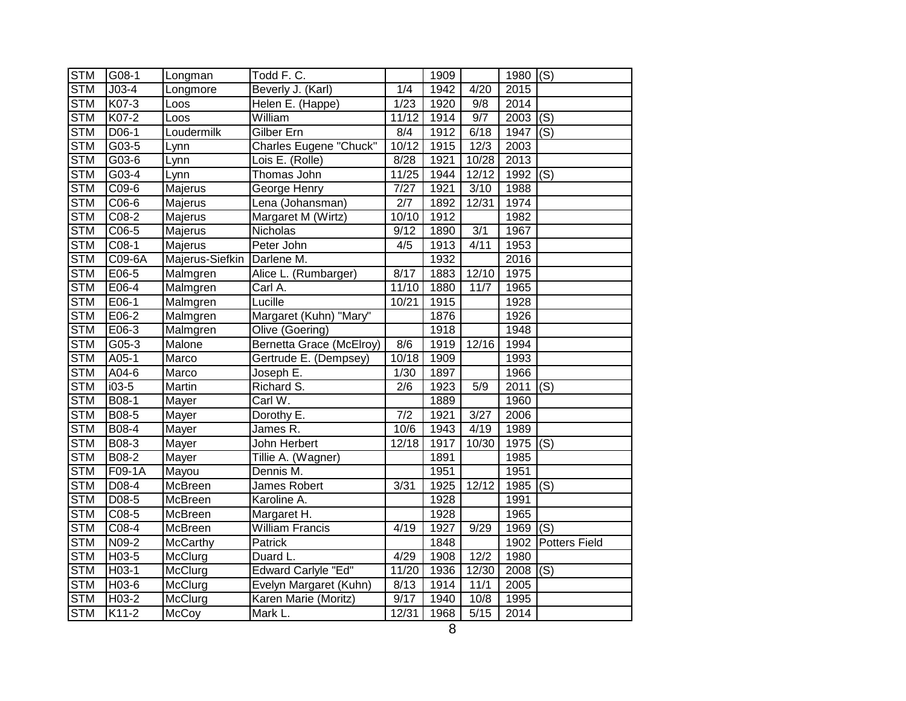| <b>STM</b> | G08-1    | Longman         | Todd F.C.                       |                | 1909 |       | 1980 $ (S)$ |                           |
|------------|----------|-----------------|---------------------------------|----------------|------|-------|-------------|---------------------------|
| <b>STM</b> | $J03-4$  | Longmore        | Beverly J. (Karl)               | 1/4            | 1942 | 4/20  | 2015        |                           |
| <b>STM</b> | K07-3    | Loos            | Helen E. (Happe)                | $\frac{1}{23}$ | 1920 | 9/8   | 2014        |                           |
| <b>STM</b> | K07-2    | Loos            | William                         | 11/12          | 1914 | 9/7   | 2003        | $\overline{(\mathsf{S})}$ |
| <b>STM</b> | D06-1    | Loudermilk      | Gilber Ern                      | 8/4            | 1912 | 6/18  | 1947        | $\overline{(\mathsf{S})}$ |
| <b>STM</b> | G03-5    | Lynn            | Charles Eugene "Chuck"          | 10/12          | 1915 | 12/3  | 2003        |                           |
| <b>STM</b> | G03-6    | Lynn            | Lois E. (Rolle)                 | 8/28           | 1921 | 10/28 | 2013        |                           |
| <b>STM</b> | $G$ 03-4 | Lynn            | Thomas John                     | 11/25          | 1944 | 12/12 | 1992        | (S)                       |
| <b>STM</b> | C09-6    | Majerus         | George Henry                    | 7/27           | 1921 | 3/10  | 1988        |                           |
| <b>STM</b> | C06-6    | Majerus         | Lena (Johansman)                | 2/7            | 1892 | 12/31 | 1974        |                           |
| <b>STM</b> | C08-2    | Majerus         | Margaret M (Wirtz)              | 10/10          | 1912 |       | 1982        |                           |
| <b>STM</b> | C06-5    | Majerus         | Nicholas                        | 9/12           | 1890 | 3/1   | 1967        |                           |
| <b>STM</b> | C08-1    | Majerus         | Peter John                      | 4/5            | 1913 | 4/11  | 1953        |                           |
| <b>STM</b> | C09-6A   | Majerus-Siefkin | Darlene M.                      |                | 1932 |       | 2016        |                           |
| <b>STM</b> | E06-5    | Malmgren        | Alice L. (Rumbarger)            | 8/17           | 1883 | 12/10 | 1975        |                           |
| <b>STM</b> | E06-4    | Malmgren        | Carl A.                         | 11/10          | 1880 | 11/7  | 1965        |                           |
| <b>STM</b> | E06-1    | Malmgren        | Lucille                         | 10/21          | 1915 |       | 1928        |                           |
| <b>STM</b> | E06-2    | Malmgren        | Margaret (Kuhn) "Mary"          |                | 1876 |       | 1926        |                           |
| <b>STM</b> | E06-3    | Malmgren        | Olive (Goering)                 |                | 1918 |       | 1948        |                           |
| <b>STM</b> | $G05-3$  | Malone          | <b>Bernetta Grace (McElroy)</b> | 8/6            | 1919 | 12/16 | 1994        |                           |
| <b>STM</b> | $A05-1$  | Marco           | Gertrude E. (Dempsey)           | 10/18          | 1909 |       | 1993        |                           |
| <b>STM</b> | A04-6    | Marco           | Joseph E.                       | 1/30           | 1897 |       | 1966        |                           |
| <b>STM</b> | $i03-5$  | Martin          | Richard S.                      | 2/6            | 1923 | 5/9   | 2011        | (S)                       |
| <b>STM</b> | B08-1    | Mayer           | Carl W.                         |                | 1889 |       | 1960        |                           |
| <b>STM</b> | B08-5    | Mayer           | Dorothy E.                      | 7/2            | 1921 | 3/27  | 2006        |                           |
| <b>STM</b> | B08-4    | Mayer           | James R.                        | 10/6           | 1943 | 4/19  | 1989        |                           |
| <b>STM</b> | B08-3    | Mayer           | John Herbert                    | 12/18          | 1917 | 10/30 | 1975        | (S)                       |
| <b>STM</b> | B08-2    | Mayer           | Tillie A. (Wagner)              |                | 1891 |       | 1985        |                           |
| <b>STM</b> | F09-1A   | Mayou           | Dennis M.                       |                | 1951 |       | 1951        |                           |
| <b>STM</b> | $D08-4$  | McBreen         | James Robert                    | 3/31           | 1925 | 12/12 | 1985        | $\overline{(\mathsf{S})}$ |
| <b>STM</b> | D08-5    | McBreen         | Karoline A.                     |                | 1928 |       | 1991        |                           |
| <b>STM</b> | C08-5    | McBreen         | Margaret H.                     |                | 1928 |       | 1965        |                           |
| <b>STM</b> | $C08-4$  | McBreen         | <b>William Francis</b>          | 4/19           | 1927 | 9/29  | 1969        | (S)                       |
| <b>STM</b> | N09-2    | McCarthy        | Patrick                         |                | 1848 |       | 1902        | <b>Potters Field</b>      |
| <b>STM</b> | H03-5    | McClurg         | Duard L.                        | 4/29           | 1908 | 12/2  | 1980        |                           |
| <b>STM</b> | H03-1    | McClurg         | <b>Edward Carlyle "Ed"</b>      | 11/20          | 1936 | 12/30 | 2008        | (S)                       |
| <b>STM</b> | H03-6    | McClurg         | Evelyn Margaret (Kuhn)          | 8/13           | 1914 | 11/1  | 2005        |                           |
| <b>STM</b> | H03-2    | McClurg         | Karen Marie (Moritz)            | 9/17           | 1940 | 10/8  | 1995        |                           |
| <b>STM</b> | K11-2    | McCoy           | Mark L.                         | 12/31          | 1968 | 5/15  | 2014        |                           |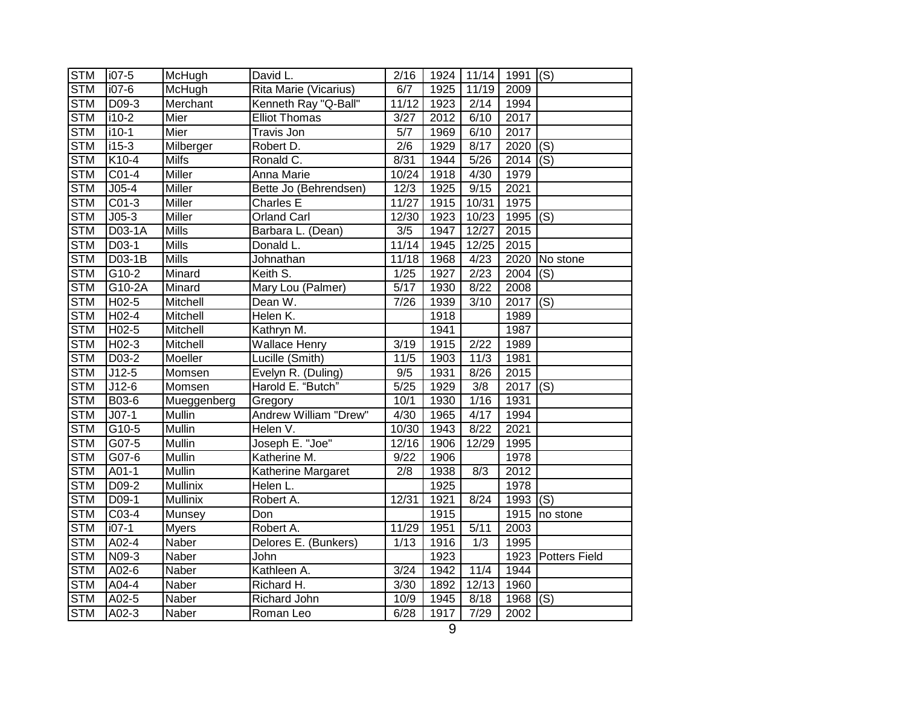| <b>STM</b> | i07-5              | McHugh          | David L.              | 2/16              | 1924 | 11/14 | $\sqrt{1991}$ (S) |                           |
|------------|--------------------|-----------------|-----------------------|-------------------|------|-------|-------------------|---------------------------|
| <b>STM</b> | $i07-6$            | McHugh          | Rita Marie (Vicarius) | 6/7               | 1925 | 11/19 | 2009              |                           |
| <b>STM</b> | D09-3              | Merchant        | Kenneth Ray "Q-Ball"  | 11/12             | 1923 | 2/14  | 1994              |                           |
| <b>STM</b> | i10-2              | Mier            | <b>Elliot Thomas</b>  | 3/27              | 2012 | 6/10  | 2017              |                           |
| <b>STM</b> | $i10-1$            | Mier            | Travis Jon            | 5/7               | 1969 | 6/10  | 2017              |                           |
| <b>STM</b> | $i15-3$            | Milberger       | Robert D.             | 2/6               | 1929 | 8/17  | 2020              | (S)                       |
| <b>STM</b> | K10-4              | <b>Milfs</b>    | Ronald C.             | 8/31              | 1944 | 5/26  | 2014              | (S)                       |
| <b>STM</b> | $C01-4$            | <b>Miller</b>   | Anna Marie            | 10/24             | 1918 | 4/30  | 1979              |                           |
| <b>STM</b> | $J05-4$            | Miller          | Bette Jo (Behrendsen) | 12/3              | 1925 | 9/15  | 2021              |                           |
| <b>STM</b> | $CO1-3$            | Miller          | Charles E             | 11/27             | 1915 | 10/31 | 1975              |                           |
| <b>STM</b> | $J05-3$            | Miller          | <b>Orland Carl</b>    | 12/30             | 1923 | 10/23 | 1995              | (S)                       |
| <b>STM</b> | D03-1A             | Mills           | Barbara L. (Dean)     | 3/5               | 1947 | 12/27 | 2015              |                           |
| <b>STM</b> | D03-1              | <b>Mills</b>    | Donald L.             | 11/14             | 1945 | 12/25 | 2015              |                           |
| <b>STM</b> | D03-1B             | <b>Mills</b>    | Johnathan             | 11/18             | 1968 | 4/23  | 2020              | No stone                  |
| <b>STM</b> | G10-2              | Minard          | Keith S.              | 1/25              | 1927 | 2/23  | 2004              | (S)                       |
| <b>STM</b> | G10-2A             | Minard          | Mary Lou (Palmer)     | 5/17              | 1930 | 8/22  | 2008              |                           |
| <b>STM</b> | $H02-5$            | <b>Mitchell</b> | Dean W.               | 7/26              | 1939 | 3/10  | 2017              | $\overline{(\mathsf{S})}$ |
| <b>STM</b> | H02-4              | Mitchell        | Helen K.              |                   | 1918 |       | 1989              |                           |
| <b>STM</b> | $H02-5$            | Mitchell        | Kathryn M.            |                   | 1941 |       | 1987              |                           |
| <b>STM</b> | $H02-3$            | Mitchell        | <b>Wallace Henry</b>  | 3/19              | 1915 | 2/22  | 1989              |                           |
| <b>STM</b> | $D03-2$            | Moeller         | Lucille (Smith)       | 11/5              | 1903 | 11/3  | 1981              |                           |
| <b>STM</b> | $\overline{J12-5}$ | Momsen          | Evelyn R. (Duling)    | 9/5               | 1931 | 8/26  | 2015              |                           |
| <b>STM</b> | $J12-6$            | Momsen          | Harold E. "Butch"     | $\overline{5/25}$ | 1929 | 3/8   | 2017              | (S)                       |
| <b>STM</b> | B03-6              | Mueggenberg     | Gregory               | 10/1              | 1930 | 1/16  | 1931              |                           |
| <b>STM</b> | $JO7-1$            | Mullin          | Andrew William "Drew" | 4/30              | 1965 | 4/17  | 1994              |                           |
| <b>STM</b> | $G10-5$            | Mullin          | Helen V.              | 10/30             | 1943 | 8/22  | 2021              |                           |
| <b>STM</b> | $G07-5$            | Mullin          | Joseph E. "Joe"       | 12/16             | 1906 | 12/29 | 1995              |                           |
| <b>STM</b> | $G07-6$            | Mullin          | Katherine M.          | 9/22              | 1906 |       | 1978              |                           |
| <b>STM</b> | $\overline{AO1-1}$ | Mullin          | Katherine Margaret    | $\overline{2/8}$  | 1938 | 8/3   | 2012              |                           |
| <b>STM</b> | $D09-2$            | Mullinix        | Helen L.              |                   | 1925 |       | 1978              |                           |
| <b>STM</b> | D09-1              | <b>Mullinix</b> | Robert A.             | 12/31             | 1921 | 8/24  | 1993              | (S)                       |
| <b>STM</b> | C03-4              | Munsey          | Don                   |                   | 1915 |       | 1915              | no stone                  |
| <b>STM</b> | $i07-1$            | <b>Myers</b>    | Robert A.             | 11/29             | 1951 | 5/11  | 2003              |                           |
| <b>STM</b> | A02-4              | <b>Naber</b>    | Delores E. (Bunkers)  | 1/13              | 1916 | 1/3   | 1995              |                           |
| <b>STM</b> | N09-3              | Naber           | John                  |                   | 1923 |       |                   | 1923 Potters Field        |
| <b>STM</b> | $A02-6$            | Naber           | Kathleen A.           | $\frac{3}{24}$    | 1942 | 11/4  | 1944              |                           |
| <b>STM</b> | A04-4              | Naber           | Richard H.            | 3/30              | 1892 | 12/13 | 1960              |                           |
| <b>STM</b> | A02-5              | Naber           | Richard John          | 10/9              | 1945 | 8/18  | 1968              | (S)                       |
| <b>STM</b> | A02-3              | Naber           | Roman Leo             | 6/28              | 1917 | 7/29  | 2002              |                           |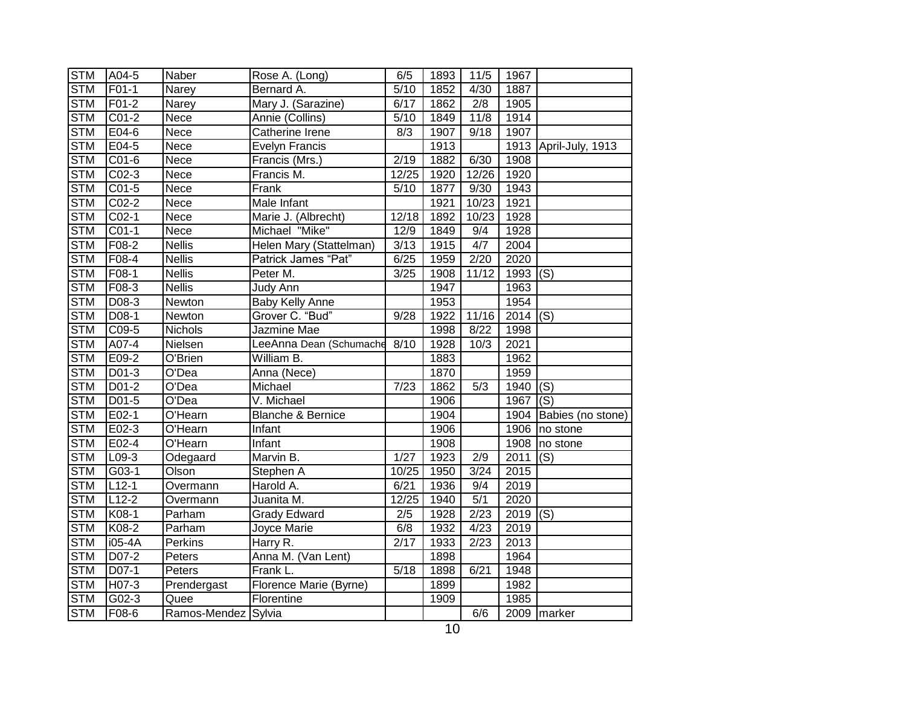| <b>STM</b> | A04-5              | Naber               | Rose A. (Long)               | 6/5   | 1893 | 11/5           | 1967 |                       |
|------------|--------------------|---------------------|------------------------------|-------|------|----------------|------|-----------------------|
| <b>STM</b> | F01-1              | Narey               | Bernard A.                   | 5/10  | 1852 | 4/30           | 1887 |                       |
| <b>STM</b> | F01-2              | Narey               | Mary J. (Sarazine)           | 6/17  | 1862 | 2/8            | 1905 |                       |
| <b>STM</b> | $CO1-2$            | Nece                | Annie (Collins)              | 5/10  | 1849 | 11/8           | 1914 |                       |
| <b>STM</b> | E04-6              | Nece                | Catherine Irene              | 8/3   | 1907 | 9/18           | 1907 |                       |
| <b>STM</b> | E04-5              | Nece                | <b>Evelyn Francis</b>        |       | 1913 |                |      | 1913 April-July, 1913 |
| <b>STM</b> | $CO1-6$            | Nece                | Francis (Mrs.)               | 2/19  | 1882 | 6/30           | 1908 |                       |
| <b>STM</b> | $CO2-3$            | Nece                | Francis M.                   | 12/25 | 1920 | 12/26          | 1920 |                       |
| <b>STM</b> | $CO1-5$            | Nece                | Frank                        | 5/10  | 1877 | 9/30           | 1943 |                       |
| <b>STM</b> | C02-2              | Nece                | Male Infant                  |       | 1921 | 10/23          | 1921 |                       |
| <b>STM</b> | $CO2-1$            | Nece                | Marie J. (Albrecht)          | 12/18 | 1892 | 10/23          | 1928 |                       |
| <b>STM</b> | $CO1-1$            | Nece                | Michael "Mike"               | 12/9  | 1849 | 9/4            | 1928 |                       |
| <b>STM</b> | F08-2              | <b>Nellis</b>       | Helen Mary (Stattelman)      | 3/13  | 1915 | 4/7            | 2004 |                       |
| <b>STM</b> | F08-4              | <b>Nellis</b>       | Patrick James "Pat"          | 6/25  | 1959 | 2/20           | 2020 |                       |
| <b>STM</b> | F08-1              | <b>Nellis</b>       | Peter M.                     | 3/25  | 1908 | 11/12          | 1993 | (S)                   |
| <b>STM</b> | F08-3              | <b>Nellis</b>       | Judy Ann                     |       | 1947 |                | 1963 |                       |
| <b>STM</b> | $D$ 08-3           | Newton              | <b>Baby Kelly Anne</b>       |       | 1953 |                | 1954 |                       |
| <b>STM</b> | D08-1              | Newton              | Grover C. "Bud"              | 9/28  | 1922 | 11/16          | 2014 | (S)                   |
| <b>STM</b> | $C09-5$            | <b>Nichols</b>      | Jazmine Mae                  |       | 1998 | 8/22           | 1998 |                       |
| <b>STM</b> | A07-4              | Nielsen             | LeeAnna Dean (Schumache      | 8/10  | 1928 | 10/3           | 2021 |                       |
| <b>STM</b> | E09-2              | O'Brien             | William B.                   |       | 1883 |                | 1962 |                       |
| <b>STM</b> | D01-3              | O'Dea               | Anna (Nece)                  |       | 1870 |                | 1959 |                       |
| <b>STM</b> | D01-2              | $\overline{O}$ 'Dea | Michael                      | 7/23  | 1862 | 5/3            | 1940 | (S)                   |
| <b>STM</b> | D01-5              | O'Dea               | V. Michael                   |       | 1906 |                | 1967 | (S)                   |
| <b>STM</b> | E02-1              | O'Hearn             | <b>Blanche &amp; Bernice</b> |       | 1904 |                | 1904 | Babies (no stone)     |
| <b>STM</b> | $E02-3$            | O'Hearn             | Infant                       |       | 1906 |                | 1906 | no stone              |
| <b>STM</b> | E02-4              | O'Hearn             | Infant                       |       | 1908 |                | 1908 | no stone              |
| <b>STM</b> | $L09-3$            | Odegaard            | Marvin B.                    | 1/27  | 1923 | 2/9            | 2011 | (S)                   |
| <b>STM</b> | G03-1              | Olson               | Stephen A                    | 10/25 | 1950 | $\frac{3}{24}$ | 2015 |                       |
| <b>STM</b> | $L12-1$            | Overmann            | Harold A.                    | 6/21  | 1936 | 9/4            | 2019 |                       |
| <b>STM</b> | $L12-2$            | Overmann            | Juanita M.                   | 12/25 | 1940 | 5/1            | 2020 |                       |
| <b>STM</b> | K08-1              | Parham              | <b>Grady Edward</b>          | 2/5   | 1928 | 2/23           | 2019 | (S)                   |
| <b>STM</b> | K08-2              | Parham              | Joyce Marie                  | 6/8   | 1932 | 4/23           | 2019 |                       |
| <b>STM</b> | i05-4A             | Perkins             | Harry R.                     | 2/17  | 1933 | 2/23           | 2013 |                       |
| <b>STM</b> | D07-2              | Peters              | Anna M. (Van Lent)           |       | 1898 |                | 1964 |                       |
| <b>STM</b> | D07-1              | Peters              | Frank L.                     | 5/18  | 1898 | 6/21           | 1948 |                       |
| <b>STM</b> | H <sub>07</sub> -3 | Prendergast         | Florence Marie (Byrne)       |       | 1899 |                | 1982 |                       |
| <b>STM</b> | G02-3              | Quee                | Florentine                   |       | 1909 |                | 1985 |                       |
| <b>STM</b> | F08-6              | Ramos-Mendez Sylvia |                              |       |      | 6/6            |      | 2009 marker           |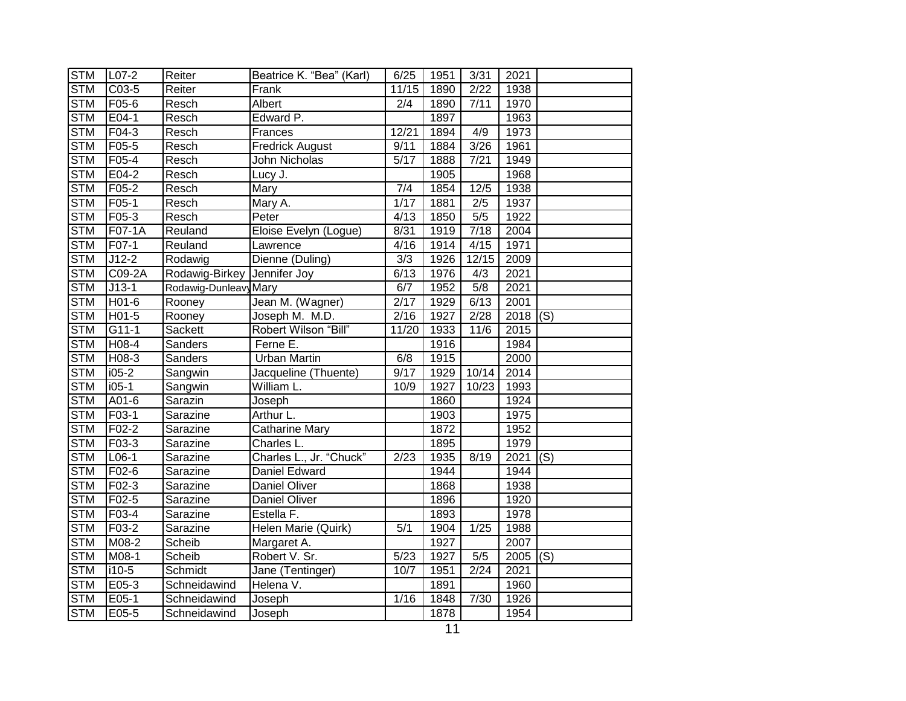| <b>STM</b> | $L07-2$             | Reiter                      | Beatrice K. "Bea" (Karl) | 6/25  | 1951 | 3/31              | 2021 |     |
|------------|---------------------|-----------------------------|--------------------------|-------|------|-------------------|------|-----|
| <b>STM</b> | $C03-5$             | Reiter                      | Frank                    | 11/15 | 1890 | $\sqrt{2/22}$     | 1938 |     |
| <b>STM</b> | F05-6               | Resch                       | Albert                   | 2/4   | 1890 | 7/11              | 1970 |     |
| <b>STM</b> | $E04-1$             | Resch                       | Edward P.                |       | 1897 |                   | 1963 |     |
| <b>STM</b> | $F04-3$             | Resch                       | Frances                  | 12/21 | 1894 | 4/9               | 1973 |     |
| <b>STM</b> | F05-5               | Resch                       | <b>Fredrick August</b>   | 9/11  | 1884 | 3/26              | 1961 |     |
| <b>STM</b> | $F05-4$             | Resch                       | John Nicholas            | 5/17  | 1888 | 7/21              | 1949 |     |
| <b>STM</b> | E04-2               | Resch                       | Lucy J.                  |       | 1905 |                   | 1968 |     |
| <b>STM</b> | F05-2               | Resch                       | Mary                     | 7/4   | 1854 | 12/5              | 1938 |     |
| <b>STM</b> | $F05-1$             | Resch                       | Mary A.                  | 1/17  | 1881 | 2/5               | 1937 |     |
| <b>STM</b> | F05-3               | Resch                       | Peter                    | 4/13  | 1850 | 5/5               | 1922 |     |
| <b>STM</b> | F07-1A              | Reuland                     | Eloise Evelyn (Logue)    | 8/31  | 1919 | $\overline{7/18}$ | 2004 |     |
| <b>STM</b> | $\overline{F}$ 07-1 | Reuland                     | Lawrence                 | 4/16  | 1914 | 4/15              | 1971 |     |
| <b>STM</b> | $J12-2$             | Rodawig                     | Dienne (Duling)          | 3/3   | 1926 | 12/15             | 2009 |     |
| <b>STM</b> | C09-2A              | Rodawig-Birkey Jennifer Joy |                          | 6/13  | 1976 | 4/3               | 2021 |     |
| <b>STM</b> | $J13-1$             | Rodawig-Dunleavy Mary       |                          | 6/7   | 1952 | 5/8               | 2021 |     |
| <b>STM</b> | $H01-6$             | Rooney                      | Jean M. (Wagner)         | 2/17  | 1929 | 6/13              | 2001 |     |
| <b>STM</b> | $H01-5$             | Rooney                      | Joseph M. M.D.           | 2/16  | 1927 | 2/28              | 2018 | (S) |
| <b>STM</b> | $G11-1$             | Sackett                     | Robert Wilson "Bill"     | 11/20 | 1933 | 11/6              | 2015 |     |
| <b>STM</b> | $H$ 08-4            | <b>Sanders</b>              | Ferne E.                 |       | 1916 |                   | 1984 |     |
| <b>STM</b> | $H08-3$             | Sanders                     | <b>Urban Martin</b>      | 6/8   | 1915 |                   | 2000 |     |
| <b>STM</b> | $i05-2$             | Sangwin                     | Jacqueline (Thuente)     | 9/17  | 1929 | 10/14             | 2014 |     |
| <b>STM</b> | $i05-1$             | Sangwin                     | William L.               | 10/9  | 1927 | 10/23             | 1993 |     |
| <b>STM</b> | A01-6               | Sarazin                     | Joseph                   |       | 1860 |                   | 1924 |     |
| <b>STM</b> | F03-1               | Sarazine                    | Arthur L.                |       | 1903 |                   | 1975 |     |
| <b>STM</b> | F02-2               | Sarazine                    | Catharine Mary           |       | 1872 |                   | 1952 |     |
| <b>STM</b> | F03-3               | Sarazine                    | Charles L.               |       | 1895 |                   | 1979 |     |
| <b>STM</b> | $L$ 06-1            | Sarazine                    | Charles L., Jr. "Chuck"  | 2/23  | 1935 | 8/19              | 2021 | (S) |
| <b>STM</b> | $F02-6$             | Sarazine                    | Daniel Edward            |       | 1944 |                   | 1944 |     |
| <b>STM</b> | F02-3               | Sarazine                    | <b>Daniel Oliver</b>     |       | 1868 |                   | 1938 |     |
| <b>STM</b> | F02-5               | Sarazine                    | Daniel Oliver            |       | 1896 |                   | 1920 |     |
| <b>STM</b> | F03-4               | Sarazine                    | Estella F.               |       | 1893 |                   | 1978 |     |
| <b>STM</b> | F03-2               | Sarazine                    | Helen Marie (Quirk)      | 5/1   | 1904 | 1/25              | 1988 |     |
| <b>STM</b> | M08-2               | Scheib                      | Margaret A.              |       | 1927 |                   | 2007 |     |
| <b>STM</b> | M08-1               | Scheib                      | Robert V. Sr.            | 5/23  | 1927 | 5/5               | 2005 | (S) |
| <b>STM</b> | i10-5               | Schmidt                     | Jane (Tentinger)         | 10/7  | 1951 | 2/24              | 2021 |     |
| <b>STM</b> | $E05-3$             | Schneidawind                | Helena V.                |       | 1891 |                   | 1960 |     |
| <b>STM</b> | E05-1               | Schneidawind                | Joseph                   | 1/16  | 1848 | 7/30              | 1926 |     |
| <b>STM</b> | E05-5               | Schneidawind                | Joseph                   |       | 1878 |                   | 1954 |     |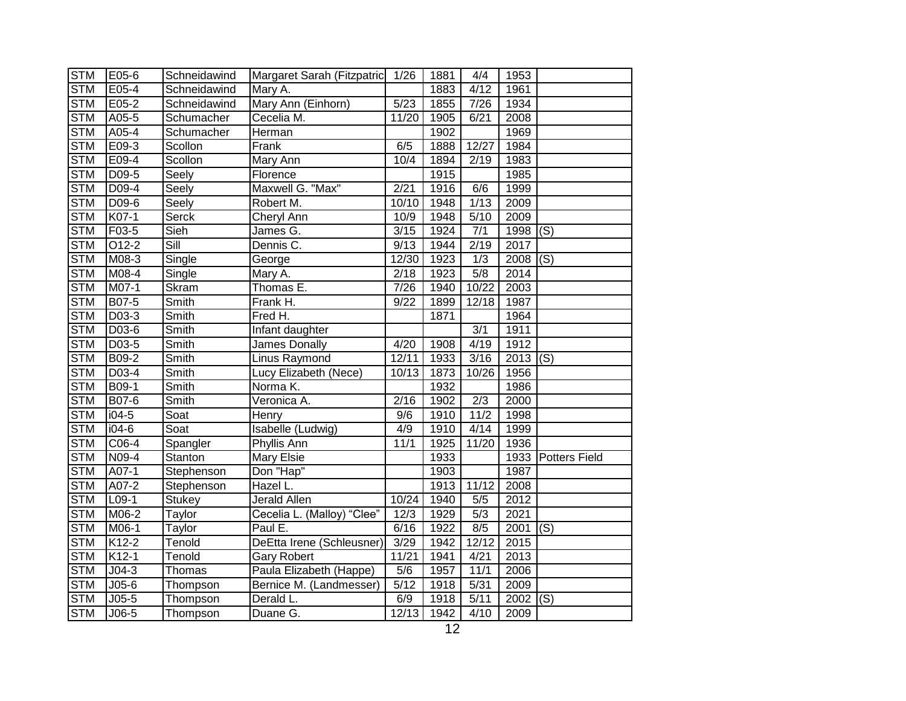| <b>STM</b> | E05-6              | Schneidawind             | Margaret Sarah (Fitzpatric 1/26 |       | 1881 | 4/4              | 1953       |                      |
|------------|--------------------|--------------------------|---------------------------------|-------|------|------------------|------------|----------------------|
| <b>STM</b> | $E05-4$            | Schneidawind             | Mary A.                         |       | 1883 | 4/12             | 1961       |                      |
| <b>STM</b> | E05-2              | Schneidawind             | Mary Ann (Einhorn)              | 5/23  | 1855 | 7/26             | 1934       |                      |
| <b>STM</b> | A05-5              | Schumacher               | Cecelia M.                      | 11/20 | 1905 | 6/21             | 2008       |                      |
| <b>STM</b> | A05-4              | Schumacher               | Herman                          |       | 1902 |                  | 1969       |                      |
| <b>STM</b> | E09-3              | Scollon                  | Frank                           | 6/5   | 1888 | 12/27            | 1984       |                      |
| <b>STM</b> | E09-4              | Scollon                  | Mary Ann                        | 10/4  | 1894 | 2/19             | 1983       |                      |
| <b>STM</b> | D09-5              | Seely                    | Florence                        |       | 1915 |                  | 1985       |                      |
| <b>STM</b> | $D09-4$            | Seely                    | Maxwell G. "Max"                | 2/21  | 1916 | 6/6              | 1999       |                      |
| <b>STM</b> | D09-6              | Seely                    | Robert M.                       | 10/10 | 1948 | 1/13             | 2009       |                      |
| <b>STM</b> | K07-1              | <b>Serck</b>             | Cheryl Ann                      | 10/9  | 1948 | 5/10             | 2009       |                      |
| <b>STM</b> | F03-5              | Sieh                     | James G.                        | 3/15  | 1924 | 7/1              | 1998       | (S)                  |
| <b>STM</b> | $O12-2$            | $\overline{\text{Sill}}$ | Dennis C.                       | 9/13  | 1944 | 2/19             | 2017       |                      |
| <b>STM</b> | M08-3              | Single                   | George                          | 12/30 | 1923 | 1/3              | 2008       | (S)                  |
| <b>STM</b> | M08-4              | Single                   | Mary A.                         | 2/18  | 1923 | $\overline{5/8}$ | 2014       |                      |
| <b>STM</b> | M07-1              | <b>Skram</b>             | Thomas E.                       | 7/26  | 1940 | 10/22            | 2003       |                      |
| <b>STM</b> | B07-5              | Smith                    | Frank H.                        | 9/22  | 1899 | 12/18            | 1987       |                      |
| <b>STM</b> | D03-3              | Smith                    | Fred H.                         |       | 1871 |                  | 1964       |                      |
| <b>STM</b> | $D03-6$            | Smith                    | Infant daughter                 |       |      | 3/1              | 1911       |                      |
| <b>STM</b> | $D03-5$            | Smith                    | James Donally                   | 4/20  | 1908 | 4/19             | 1912       |                      |
| <b>STM</b> | B09-2              | Smith                    | <b>Linus Raymond</b>            | 12/11 | 1933 | 3/16             | $2013$ (S) |                      |
| <b>STM</b> | D03-4              | Smith                    | Lucy Elizabeth (Nece)           | 10/13 | 1873 | 10/26            | 1956       |                      |
| <b>STM</b> | B09-1              | Smith                    | Norma K.                        |       | 1932 |                  | 1986       |                      |
| <b>STM</b> | B07-6              | Smith                    | Veronica A.                     | 2/16  | 1902 | $\overline{2/3}$ | 2000       |                      |
| <b>STM</b> | $i04-5$            | Soat                     | Henry                           | 9/6   | 1910 | 11/2             | 1998       |                      |
| <b>STM</b> | $\overline{104-6}$ | Soat                     | Isabelle (Ludwig)               | 4/9   | 1910 | 4/14             | 1999       |                      |
| <b>STM</b> | $C06-4$            | Spangler                 | Phyllis Ann                     | 11/1  | 1925 | 11/20            | 1936       |                      |
| <b>STM</b> | N09-4              | Stanton                  | Mary Elsie                      |       | 1933 |                  | 1933       | <b>Potters Field</b> |
| <b>STM</b> | A07-1              | Stephenson               | Don "Hap"                       |       | 1903 |                  | 1987       |                      |
| <b>STM</b> | A07-2              | Stephenson               | Hazel L.                        |       | 1913 | 11/12            | 2008       |                      |
| <b>STM</b> | $L09-1$            | <b>Stukey</b>            | Jerald Allen                    | 10/24 | 1940 | 5/5              | 2012       |                      |
| <b>STM</b> | M06-2              | Taylor                   | Cecelia L. (Malloy) "Clee"      | 12/3  | 1929 | $\overline{5}/3$ | 2021       |                      |
| <b>STM</b> | M06-1              | Taylor                   | Paul E.                         | 6/16  | 1922 | 8/5              | 2001       | (S)                  |
| <b>STM</b> | K12-2              | Tenold                   | DeEtta Irene (Schleusner)       | 3/29  | 1942 | 12/12            | 2015       |                      |
| <b>STM</b> | K12-1              | Tenold                   | <b>Gary Robert</b>              | 11/21 | 1941 | 4/21             | 2013       |                      |
| <b>STM</b> | $J04-3$            | Thomas                   | Paula Elizabeth (Happe)         | 5/6   | 1957 | 11/1             | 2006       |                      |
| <b>STM</b> | $J05-6$            | Thompson                 | Bernice M. (Landmesser)         | 5/12  | 1918 | 5/31             | 2009       |                      |
| <b>STM</b> | $J05-5$            | Thompson                 | Derald L.                       | 6/9   | 1918 | 5/11             | 2002       | (S)                  |
| <b>STM</b> | $J06-5$            | Thompson                 | Duane G.                        | 12/13 | 1942 | 4/10             | 2009       |                      |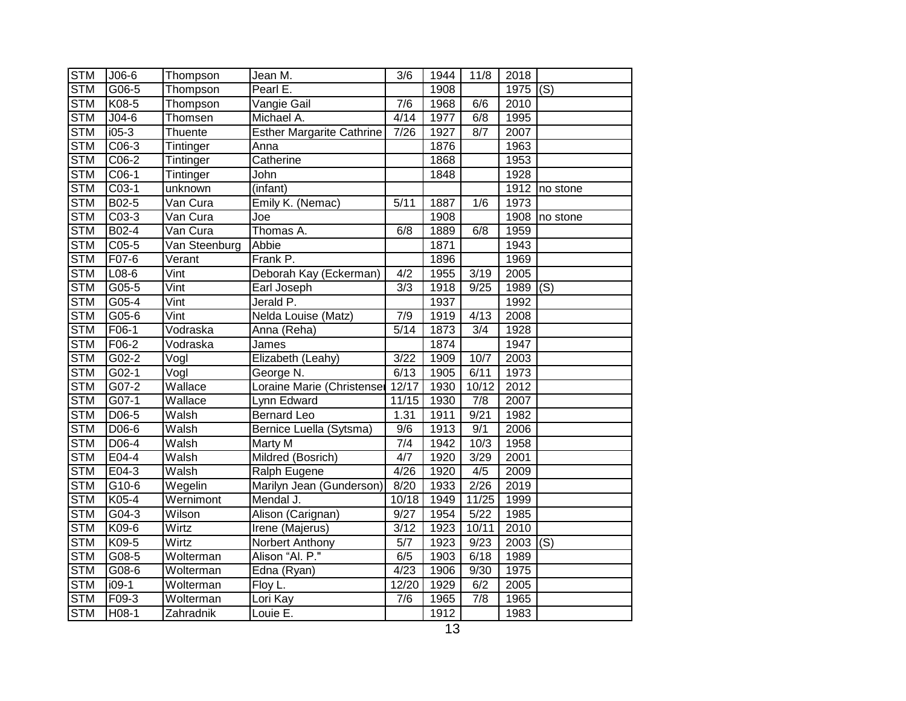| <b>STM</b> | $J06-6$            | Thompson      | Jean M.                          | 3/6              | 1944 | 11/8              | 2018 |                           |
|------------|--------------------|---------------|----------------------------------|------------------|------|-------------------|------|---------------------------|
| <b>STM</b> | $G06-5$            | Thompson      | Pearl E.                         |                  | 1908 |                   | 1975 | $\overline{(\mathsf{S})}$ |
| <b>STM</b> | K08-5              | Thompson      | Vangie Gail                      | 7/6              | 1968 | 6/6               | 2010 |                           |
| <b>STM</b> | $J04-6$            | Thomsen       | Michael A.                       | 4/14             | 1977 | 6/8               | 1995 |                           |
| <b>STM</b> | $i05-3$            | Thuente       | <b>Esther Margarite Cathrine</b> | 7/26             | 1927 | 8/7               | 2007 |                           |
| <b>STM</b> | $C06-3$            | Tintinger     | Anna                             |                  | 1876 |                   | 1963 |                           |
| <b>STM</b> | $C06-2$            | Tintinger     | Catherine                        |                  | 1868 |                   | 1953 |                           |
| <b>STM</b> | C06-1              | Tintinger     | John                             |                  | 1848 |                   | 1928 |                           |
| <b>STM</b> | $C03-1$            | unknown       | (infant)                         |                  |      |                   | 1912 | no stone                  |
| <b>STM</b> | B02-5              | Van Cura      | Emily K. (Nemac)                 | 5/11             | 1887 | 1/6               | 1973 |                           |
| <b>STM</b> | C03-3              | Van Cura      | Joe                              |                  | 1908 |                   | 1908 | no stone                  |
| <b>STM</b> | B02-4              | Van Cura      | Thomas A.                        | 6/8              | 1889 | 6/8               | 1959 |                           |
| <b>STM</b> | C05-5              | Van Steenburg | Abbie                            |                  | 1871 |                   | 1943 |                           |
| <b>STM</b> | F07-6              | Verant        | Frank P.                         |                  | 1896 |                   | 1969 |                           |
| <b>STM</b> | $L08-6$            | Vint          | Deborah Kay (Eckerman)           | 4/2              | 1955 | 3/19              | 2005 |                           |
| <b>STM</b> | $G05-5$            | Vint          | Earl Joseph                      | $\overline{3/3}$ | 1918 | 9/25              | 1989 | (S)                       |
| <b>STM</b> | $G$ 05-4           | Vint          | Jerald P.                        |                  | 1937 |                   | 1992 |                           |
| <b>STM</b> | $G05-6$            | Vint          | Nelda Louise (Matz)              | 7/9              | 1919 | 4/13              | 2008 |                           |
| <b>STM</b> | $F06-1$            | Vodraska      | Anna (Reha)                      | 5/14             | 1873 | $\overline{3/4}$  | 1928 |                           |
| <b>STM</b> | $F06-2$            | Vodraska      | James                            |                  | 1874 |                   | 1947 |                           |
| <b>STM</b> | $G02-2$            | Vogl          | Elizabeth (Leahy)                | 3/22             | 1909 | 10/7              | 2003 |                           |
| <b>STM</b> | $\overline{GO2-1}$ | Vogl          | George N.                        | 6/13             | 1905 | 6/11              | 1973 |                           |
| <b>STM</b> | G07-2              | Wallace       | Loraine Marie (Christenser       | 12/17            | 1930 | 10/12             | 2012 |                           |
| <b>STM</b> | G07-1              | Wallace       | Lynn Edward                      | 11/15            | 1930 | $\overline{7/8}$  | 2007 |                           |
| <b>STM</b> | D06-5              | Walsh         | <b>Bernard Leo</b>               | 1.31             | 1911 | 9/21              | 1982 |                           |
| <b>STM</b> | D06-6              | Walsh         | Bernice Luella (Sytsma)          | 9/6              | 1913 | 9/1               | 2006 |                           |
| <b>STM</b> | $D06-4$            | Walsh         | Marty M                          | $\overline{7/4}$ | 1942 | 10/3              | 1958 |                           |
| <b>STM</b> | E04-4              | Walsh         | Mildred (Bosrich)                | 4/7              | 1920 | 3/29              | 2001 |                           |
| <b>STM</b> | $E$ 04-3           | Walsh         | Ralph Eugene                     | 4/26             | 1920 | 4/5               | 2009 |                           |
| <b>STM</b> | G10-6              | Wegelin       | Marilyn Jean (Gunderson)         | 8/20             | 1933 | 2/26              | 2019 |                           |
| <b>STM</b> | K05-4              | Wernimont     | Mendal J.                        | 10/18            | 1949 | 11/25             | 1999 |                           |
| <b>STM</b> | G04-3              | Wilson        | Alison (Carignan)                | 9/27             | 1954 | $\overline{5/22}$ | 1985 |                           |
| <b>STM</b> | K09-6              | Wirtz         | Irene (Majerus)                  | 3/12             | 1923 | 10/11             | 2010 |                           |
| <b>STM</b> | K09-5              | Wirtz         | Norbert Anthony                  | 5/7              | 1923 | 9/23              | 2003 | (S)                       |
| <b>STM</b> | G08-5              | Wolterman     | Alison "Al. P."                  | 6/5              | 1903 | 6/18              | 1989 |                           |
| <b>STM</b> | G08-6              | Wolterman     | Edna (Ryan)                      | 4/23             | 1906 | 9/30              | 1975 |                           |
| <b>STM</b> | $i09-1$            | Wolterman     | Floy L.                          | 12/20            | 1929 | 6/2               | 2005 |                           |
| <b>STM</b> | F09-3              | Wolterman     | Lori Kay                         | 7/6              | 1965 | 7/8               | 1965 |                           |
| <b>STM</b> | H08-1              | Zahradnik     | Louie E.                         |                  | 1912 |                   | 1983 |                           |